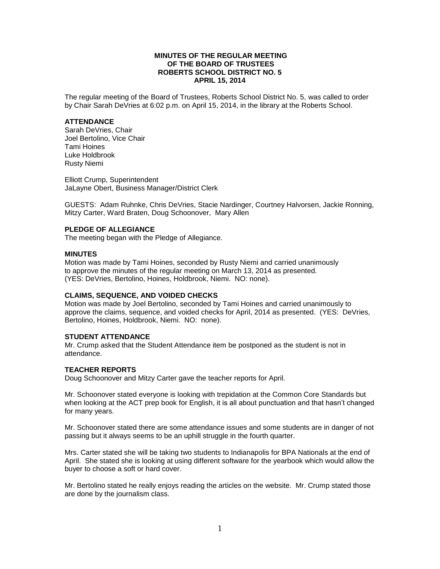## **MINUTES OF THE REGULAR MEETING OF THE BOARD OF TRUSTEES ROBERTS SCHOOL DISTRICT NO. 5 APRIL 15, 2014**

The regular meeting of the Board of Trustees, Roberts School District No. 5, was called to order by Chair Sarah DeVries at 6:02 p.m. on April 15, 2014, in the library at the Roberts School.

### **ATTENDANCE**

Sarah DeVries, Chair Joel Bertolino, Vice Chair Tami Hoines Luke Holdbrook Rusty Niemi

Elliott Crump, Superintendent JaLayne Obert, Business Manager/District Clerk

GUESTS: Adam Ruhnke, Chris DeVries, Stacie Nardinger, Courtney Halvorsen, Jackie Ronning, Mitzy Carter, Ward Braten, Doug Schoonover, Mary Allen

## **PLEDGE OF ALLEGIANCE**

The meeting began with the Pledge of Allegiance.

### **MINUTES**

Motion was made by Tami Hoines, seconded by Rusty Niemi and carried unanimously to approve the minutes of the regular meeting on March 13, 2014 as presented. (YES: DeVries, Bertolino, Hoines, Holdbrook, Niemi. NO: none).

#### **CLAIMS, SEQUENCE, AND VOIDED CHECKS**

Motion was made by Joel Bertolino, seconded by Tami Hoines and carried unanimously to approve the claims, sequence, and voided checks for April, 2014 as presented. (YES: DeVries, Bertolino, Hoines, Holdbrook, Niemi. NO: none).

### **STUDENT ATTENDANCE**

Mr. Crump asked that the Student Attendance item be postponed as the student is not in attendance.

#### **TEACHER REPORTS**

Doug Schoonover and Mitzy Carter gave the teacher reports for April.

Mr. Schoonover stated everyone is looking with trepidation at the Common Core Standards but when looking at the ACT prep book for English, it is all about punctuation and that hasn't changed for many years.

Mr. Schoonover stated there are some attendance issues and some students are in danger of not passing but it always seems to be an uphill struggle in the fourth quarter.

Mrs. Carter stated she will be taking two students to Indianapolis for BPA Nationals at the end of April. She stated she is looking at using different software for the yearbook which would allow the buyer to choose a soft or hard cover.

Mr. Bertolino stated he really enjoys reading the articles on the website. Mr. Crump stated those are done by the journalism class.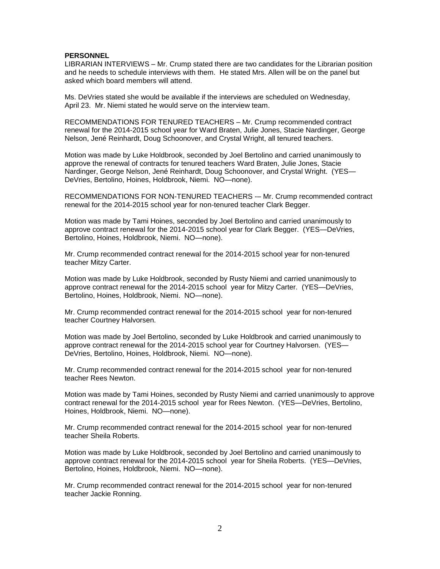#### **PERSONNEL**

LIBRARIAN INTERVIEWS – Mr. Crump stated there are two candidates for the Librarian position and he needs to schedule interviews with them. He stated Mrs. Allen will be on the panel but asked which board members will attend.

Ms. DeVries stated she would be available if the interviews are scheduled on Wednesday, April 23. Mr. Niemi stated he would serve on the interview team.

RECOMMENDATIONS FOR TENURED TEACHERS – Mr. Crump recommended contract renewal for the 2014-2015 school year for Ward Braten, Julie Jones, Stacie Nardinger, George Nelson, Jené Reinhardt, Doug Schoonover, and Crystal Wright, all tenured teachers.

Motion was made by Luke Holdbrook, seconded by Joel Bertolino and carried unanimously to approve the renewal of contracts for tenured teachers Ward Braten, Julie Jones, Stacie Nardinger, George Nelson, Jené Reinhardt, Doug Schoonover, and Crystal Wright. (YES— DeVries, Bertolino, Hoines, Holdbrook, Niemi. NO—none).

RECOMMENDATIONS FOR NON-TENURED TEACHERS -- Mr. Crump recommended contract renewal for the 2014-2015 school year for non-tenured teacher Clark Begger.

Motion was made by Tami Hoines, seconded by Joel Bertolino and carried unanimously to approve contract renewal for the 2014-2015 school year for Clark Begger. (YES—DeVries, Bertolino, Hoines, Holdbrook, Niemi. NO—none).

Mr. Crump recommended contract renewal for the 2014-2015 school year for non-tenured teacher Mitzy Carter.

Motion was made by Luke Holdbrook, seconded by Rusty Niemi and carried unanimously to approve contract renewal for the 2014-2015 school year for Mitzy Carter. (YES—DeVries, Bertolino, Hoines, Holdbrook, Niemi. NO—none).

Mr. Crump recommended contract renewal for the 2014-2015 school year for non-tenured teacher Courtney Halvorsen.

Motion was made by Joel Bertolino, seconded by Luke Holdbrook and carried unanimously to approve contract renewal for the 2014-2015 school year for Courtney Halvorsen. (YES— DeVries, Bertolino, Hoines, Holdbrook, Niemi. NO—none).

Mr. Crump recommended contract renewal for the 2014-2015 school year for non-tenured teacher Rees Newton.

Motion was made by Tami Hoines, seconded by Rusty Niemi and carried unanimously to approve contract renewal for the 2014-2015 school year for Rees Newton. (YES—DeVries, Bertolino, Hoines, Holdbrook, Niemi. NO—none).

Mr. Crump recommended contract renewal for the 2014-2015 school year for non-tenured teacher Sheila Roberts.

Motion was made by Luke Holdbrook, seconded by Joel Bertolino and carried unanimously to approve contract renewal for the 2014-2015 school year for Sheila Roberts. (YES—DeVries, Bertolino, Hoines, Holdbrook, Niemi. NO—none).

Mr. Crump recommended contract renewal for the 2014-2015 school year for non-tenured teacher Jackie Ronning.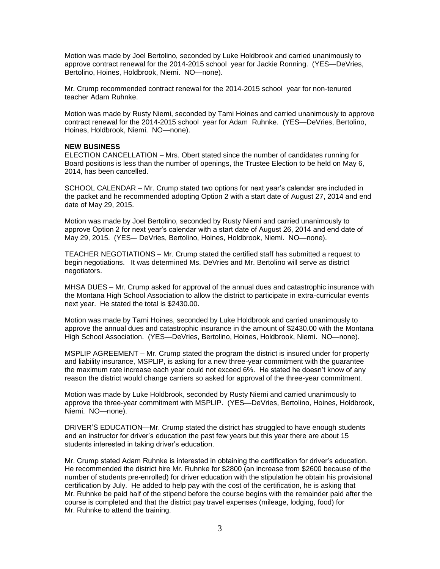Motion was made by Joel Bertolino, seconded by Luke Holdbrook and carried unanimously to approve contract renewal for the 2014-2015 school year for Jackie Ronning. (YES—DeVries, Bertolino, Hoines, Holdbrook, Niemi. NO—none).

Mr. Crump recommended contract renewal for the 2014-2015 school year for non-tenured teacher Adam Ruhnke.

Motion was made by Rusty Niemi, seconded by Tami Hoines and carried unanimously to approve contract renewal for the 2014-2015 school year for Adam Ruhnke. (YES—DeVries, Bertolino, Hoines, Holdbrook, Niemi. NO—none).

#### **NEW BUSINESS**

ELECTION CANCELLATION – Mrs. Obert stated since the number of candidates running for Board positions is less than the number of openings, the Trustee Election to be held on May 6, 2014, has been cancelled.

SCHOOL CALENDAR – Mr. Crump stated two options for next year's calendar are included in the packet and he recommended adopting Option 2 with a start date of August 27, 2014 and end date of May 29, 2015.

Motion was made by Joel Bertolino, seconded by Rusty Niemi and carried unanimously to approve Option 2 for next year's calendar with a start date of August 26, 2014 and end date of May 29, 2015. (YES–- DeVries, Bertolino, Hoines, Holdbrook, Niemi. NO—none).

TEACHER NEGOTIATIONS – Mr. Crump stated the certified staff has submitted a request to begin negotiations. It was determined Ms. DeVries and Mr. Bertolino will serve as district negotiators.

MHSA DUES – Mr. Crump asked for approval of the annual dues and catastrophic insurance with the Montana High School Association to allow the district to participate in extra-curricular events next year. He stated the total is \$2430.00.

Motion was made by Tami Hoines, seconded by Luke Holdbrook and carried unanimously to approve the annual dues and catastrophic insurance in the amount of \$2430.00 with the Montana High School Association. (YES—DeVries, Bertolino, Hoines, Holdbrook, Niemi. NO—none).

MSPLIP AGREEMENT – Mr. Crump stated the program the district is insured under for property and liability insurance, MSPLIP, is asking for a new three-year commitment with the guarantee the maximum rate increase each year could not exceed 6%. He stated he doesn't know of any reason the district would change carriers so asked for approval of the three-year commitment.

Motion was made by Luke Holdbrook, seconded by Rusty Niemi and carried unanimously to approve the three-year commitment with MSPLIP. (YES—DeVries, Bertolino, Hoines, Holdbrook, Niemi. NO—none).

DRIVER'S EDUCATION—Mr. Crump stated the district has struggled to have enough students and an instructor for driver's education the past few years but this year there are about 15 students interested in taking driver's education.

Mr. Crump stated Adam Ruhnke is interested in obtaining the certification for driver's education. He recommended the district hire Mr. Ruhnke for \$2800 (an increase from \$2600 because of the number of students pre-enrolled) for driver education with the stipulation he obtain his provisional certification by July. He added to help pay with the cost of the certification, he is asking that Mr. Ruhnke be paid half of the stipend before the course begins with the remainder paid after the course is completed and that the district pay travel expenses (mileage, lodging, food) for Mr. Ruhnke to attend the training.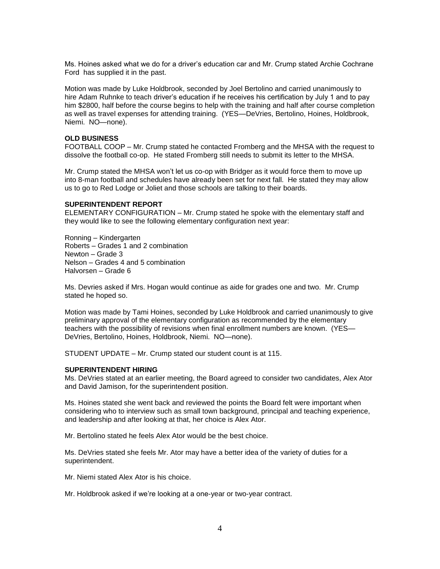Ms. Hoines asked what we do for a driver's education car and Mr. Crump stated Archie Cochrane Ford has supplied it in the past.

Motion was made by Luke Holdbrook, seconded by Joel Bertolino and carried unanimously to hire Adam Ruhnke to teach driver's education if he receives his certification by July 1 and to pay him \$2800, half before the course begins to help with the training and half after course completion as well as travel expenses for attending training. (YES—DeVries, Bertolino, Hoines, Holdbrook, Niemi. NO—none).

## **OLD BUSINESS**

FOOTBALL COOP – Mr. Crump stated he contacted Fromberg and the MHSA with the request to dissolve the football co-op. He stated Fromberg still needs to submit its letter to the MHSA.

Mr. Crump stated the MHSA won't let us co-op with Bridger as it would force them to move up into 8-man football and schedules have already been set for next fall. He stated they may allow us to go to Red Lodge or Joliet and those schools are talking to their boards.

### **SUPERINTENDENT REPORT**

ELEMENTARY CONFIGURATION – Mr. Crump stated he spoke with the elementary staff and they would like to see the following elementary configuration next year:

Ronning – Kindergarten Roberts – Grades 1 and 2 combination Newton – Grade 3 Nelson – Grades 4 and 5 combination Halvorsen – Grade 6

Ms. Devries asked if Mrs. Hogan would continue as aide for grades one and two. Mr. Crump stated he hoped so.

Motion was made by Tami Hoines, seconded by Luke Holdbrook and carried unanimously to give preliminary approval of the elementary configuration as recommended by the elementary teachers with the possibility of revisions when final enrollment numbers are known. (YES— DeVries, Bertolino, Hoines, Holdbrook, Niemi. NO—none).

STUDENT UPDATE – Mr. Crump stated our student count is at 115.

#### **SUPERINTENDENT HIRING**

Ms. DeVries stated at an earlier meeting, the Board agreed to consider two candidates, Alex Ator and David Jamison, for the superintendent position.

Ms. Hoines stated she went back and reviewed the points the Board felt were important when considering who to interview such as small town background, principal and teaching experience, and leadership and after looking at that, her choice is Alex Ator.

Mr. Bertolino stated he feels Alex Ator would be the best choice.

Ms. DeVries stated she feels Mr. Ator may have a better idea of the variety of duties for a superintendent.

Mr. Niemi stated Alex Ator is his choice.

Mr. Holdbrook asked if we're looking at a one-year or two-year contract.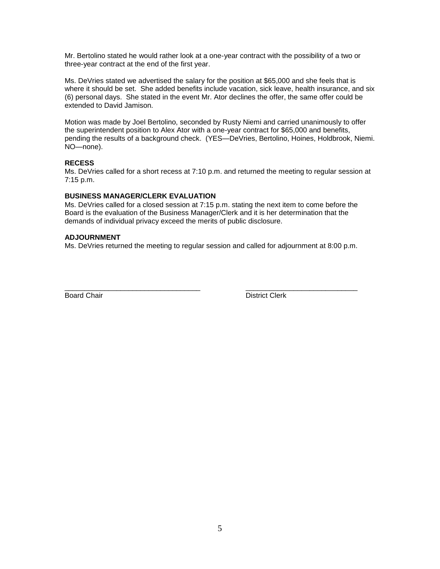Mr. Bertolino stated he would rather look at a one-year contract with the possibility of a two or three-year contract at the end of the first year.

Ms. DeVries stated we advertised the salary for the position at \$65,000 and she feels that is where it should be set. She added benefits include vacation, sick leave, health insurance, and six (6) personal days. She stated in the event Mr. Ator declines the offer, the same offer could be extended to David Jamison.

Motion was made by Joel Bertolino, seconded by Rusty Niemi and carried unanimously to offer the superintendent position to Alex Ator with a one-year contract for \$65,000 and benefits, pending the results of a background check. (YES—DeVries, Bertolino, Hoines, Holdbrook, Niemi. NO—none).

# **RECESS**

Ms. DeVries called for a short recess at 7:10 p.m. and returned the meeting to regular session at 7:15 p.m.

# **BUSINESS MANAGER/CLERK EVALUATION**

Ms. DeVries called for a closed session at 7:15 p.m. stating the next item to come before the Board is the evaluation of the Business Manager/Clerk and it is her determination that the demands of individual privacy exceed the merits of public disclosure.

# **ADJOURNMENT**

Ms. DeVries returned the meeting to regular session and called for adjournment at 8:00 p.m.

\_\_\_\_\_\_\_\_\_\_\_\_\_\_\_\_\_\_\_\_\_\_\_\_\_\_\_\_\_\_\_\_\_\_ \_\_\_\_\_\_\_\_\_\_\_\_\_\_\_\_\_\_\_\_\_\_\_\_\_\_\_\_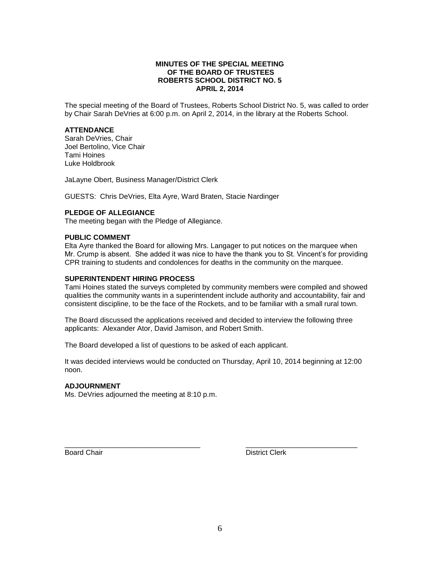## **MINUTES OF THE SPECIAL MEETING OF THE BOARD OF TRUSTEES ROBERTS SCHOOL DISTRICT NO. 5 APRIL 2, 2014**

The special meeting of the Board of Trustees, Roberts School District No. 5, was called to order by Chair Sarah DeVries at 6:00 p.m. on April 2, 2014, in the library at the Roberts School.

## **ATTENDANCE**

Sarah DeVries, Chair Joel Bertolino, Vice Chair Tami Hoines Luke Holdbrook

JaLayne Obert, Business Manager/District Clerk

GUESTS: Chris DeVries, Elta Ayre, Ward Braten, Stacie Nardinger

#### **PLEDGE OF ALLEGIANCE**

The meeting began with the Pledge of Allegiance.

## **PUBLIC COMMENT**

Elta Ayre thanked the Board for allowing Mrs. Langager to put notices on the marquee when Mr. Crump is absent. She added it was nice to have the thank you to St. Vincent's for providing CPR training to students and condolences for deaths in the community on the marquee.

## **SUPERINTENDENT HIRING PROCESS**

Tami Hoines stated the surveys completed by community members were compiled and showed qualities the community wants in a superintendent include authority and accountability, fair and consistent discipline, to be the face of the Rockets, and to be familiar with a small rural town.

The Board discussed the applications received and decided to interview the following three applicants: Alexander Ator, David Jamison, and Robert Smith.

The Board developed a list of questions to be asked of each applicant.

It was decided interviews would be conducted on Thursday, April 10, 2014 beginning at 12:00 noon.

\_\_\_\_\_\_\_\_\_\_\_\_\_\_\_\_\_\_\_\_\_\_\_\_\_\_\_\_\_\_\_\_\_\_ \_\_\_\_\_\_\_\_\_\_\_\_\_\_\_\_\_\_\_\_\_\_\_\_\_\_\_\_

#### **ADJOURNMENT**

Ms. DeVries adjourned the meeting at 8:10 p.m.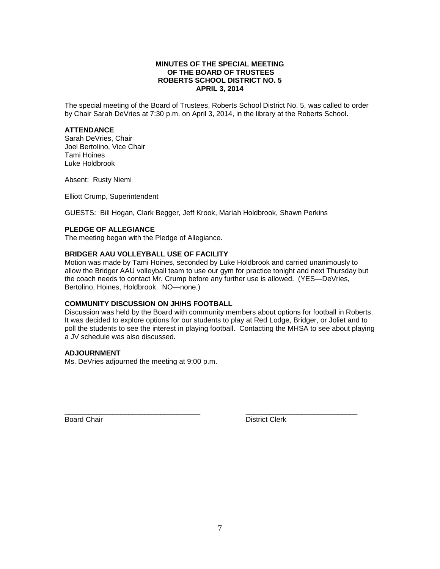# **MINUTES OF THE SPECIAL MEETING OF THE BOARD OF TRUSTEES ROBERTS SCHOOL DISTRICT NO. 5 APRIL 3, 2014**

The special meeting of the Board of Trustees, Roberts School District No. 5, was called to order by Chair Sarah DeVries at 7:30 p.m. on April 3, 2014, in the library at the Roberts School.

## **ATTENDANCE**

Sarah DeVries, Chair Joel Bertolino, Vice Chair Tami Hoines Luke Holdbrook

Absent: Rusty Niemi

Elliott Crump, Superintendent

GUESTS: Bill Hogan, Clark Begger, Jeff Krook, Mariah Holdbrook, Shawn Perkins

## **PLEDGE OF ALLEGIANCE**

The meeting began with the Pledge of Allegiance.

### **BRIDGER AAU VOLLEYBALL USE OF FACILITY**

Motion was made by Tami Hoines, seconded by Luke Holdbrook and carried unanimously to allow the Bridger AAU volleyball team to use our gym for practice tonight and next Thursday but the coach needs to contact Mr. Crump before any further use is allowed. (YES—DeVries, Bertolino, Hoines, Holdbrook. NO—none.)

#### **COMMUNITY DISCUSSION ON JH/HS FOOTBALL**

Discussion was held by the Board with community members about options for football in Roberts. It was decided to explore options for our students to play at Red Lodge, Bridger, or Joliet and to poll the students to see the interest in playing football. Contacting the MHSA to see about playing a JV schedule was also discussed.

\_\_\_\_\_\_\_\_\_\_\_\_\_\_\_\_\_\_\_\_\_\_\_\_\_\_\_\_\_\_\_\_\_\_ \_\_\_\_\_\_\_\_\_\_\_\_\_\_\_\_\_\_\_\_\_\_\_\_\_\_\_\_

## **ADJOURNMENT**

Ms. DeVries adjourned the meeting at 9:00 p.m.